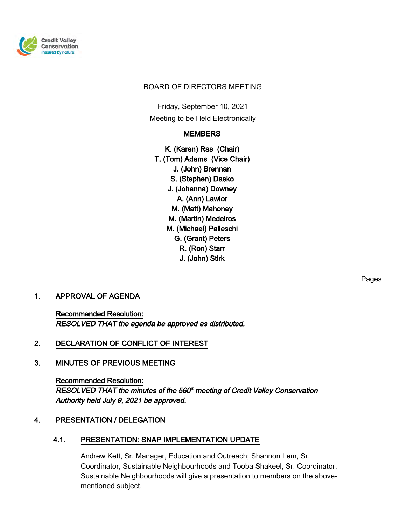

#### BOARD OF DIRECTORS MEETING

Friday, September 10, 2021 Meeting to be Held Electronically

#### **MEMBERS**

K. (Karen) Ras (Chair) T. (Tom) Adams (Vice Chair) J. (John) Brennan S. (Stephen) Dasko J. (Johanna) Downey A. (Ann) Lawlor M. (Matt) Mahoney M. (Martin) Medeiros M. (Michael) Palleschi G. (Grant) Peters R. (Ron) Starr J. (John) Stirk

#### 1. APPROVAL OF AGENDA

Recommended Resolution: RESOLVED THAT the agenda be approved as distributed.

#### 2. DECLARATION OF CONFLICT OF INTEREST

#### 3. MINUTES OF PREVIOUS MEETING

Recommended Resolution: RESOLVED THAT the minutes of the 560<sup>th</sup> meeting of Credit Valley Conservation Authority held July 9, 2021 be approved.

#### 4. PRESENTATION / DELEGATION

#### 4.1. PRESENTATION: SNAP IMPLEMENTATION UPDATE

Andrew Kett, Sr. Manager, Education and Outreach; Shannon Lem, Sr. Coordinator, Sustainable Neighbourhoods and Tooba Shakeel, Sr. Coordinator, Sustainable Neighbourhoods will give a presentation to members on the abovementioned subject.

Pages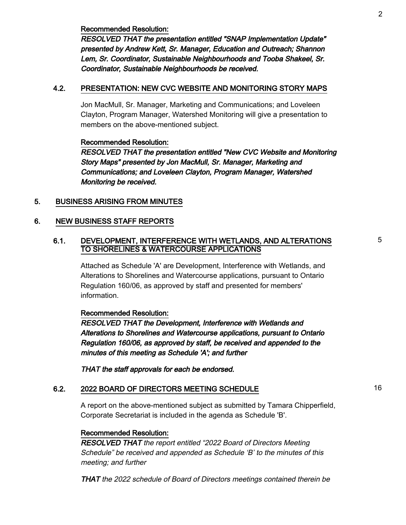Recommended Resolution:

RESOLVED THAT the presentation entitled "SNAP Implementation Update" presented by Andrew Kett, Sr. Manager, Education and Outreach; Shannon Lem, Sr. Coordinator, Sustainable Neighbourhoods and Tooba Shakeel, Sr. Coordinator, Sustainable Neighbourhoods be received.

#### 4.2. PRESENTATION: NEW CVC WEBSITE AND MONITORING STORY MAPS

Jon MacMull, Sr. Manager, Marketing and Communications; and Loveleen Clayton, Program Manager, Watershed Monitoring will give a presentation to members on the above-mentioned subject.

#### Recommended Resolution:

RESOLVED THAT the presentation entitled "New CVC Website and Monitoring Story Maps" presented by Jon MacMull, Sr. Manager, Marketing and Communications; and Loveleen Clayton, Program Manager, Watershed Monitoring be received.

#### 5. BUSINESS ARISING FROM MINUTES

#### 6. NEW BUSINESS STAFF REPORTS

#### 6.1. DEVELOPMENT, INTERFERENCE WITH WETLANDS, AND ALTERATIONS TO SHORELINES & WATERCOURSE APPLICATIONS

Attached as Schedule 'A' are Development, Interference with Wetlands, and Alterations to Shorelines and Watercourse applications, pursuant to Ontario Regulation 160/06, as approved by staff and presented for members' information.

#### Recommended Resolution:

RESOLVED THAT the Development, Interference with Wetlands and Alterations to Shorelines and Watercourse applications, pursuant to Ontario Regulation 160/06, as approved by staff, be received and appended to the minutes of this meeting as Schedule 'A'; and further

THAT the staff approvals for each be endorsed.

#### 6.2. 2022 BOARD OF DIRECTORS MEETING SCHEDULE 16

A report on the above-mentioned subject as submitted by Tamara Chipperfield, Corporate Secretariat is included in the agenda as Schedule 'B'.

#### Recommended Resolution:

RESOLVED THAT the report entitled "2022 Board of Directors Meeting Schedule" be received and appended as Schedule 'B' to the minutes of this meeting; and further

THAT the 2022 schedule of Board of Directors meetings contained therein be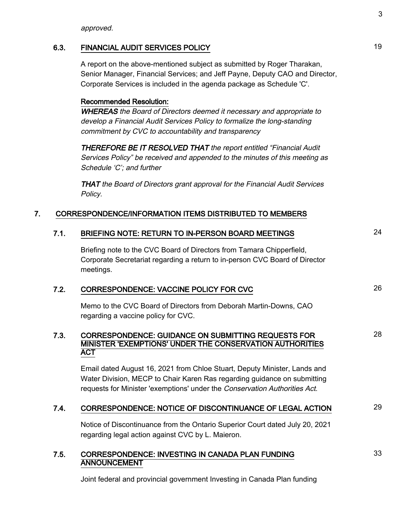approved.

#### 6.3. FINANCIAL AUDIT SERVICES POLICY **19**

A report on the above-mentioned subject as submitted by Roger Tharakan, Senior Manager, Financial Services; and Jeff Payne, Deputy CAO and Director, Corporate Services is included in the agenda package as Schedule 'C'.

#### Recommended Resolution:

WHEREAS the Board of Directors deemed it necessary and appropriate to develop a Financial Audit Services Policy to formalize the long-standing commitment by CVC to accountability and transparency

THEREFORE BE IT RESOLVED THAT the report entitled "Financial Audit Services Policy" be received and appended to the minutes of this meeting as Schedule 'C'; and further

THAT the Board of Directors grant approval for the Financial Audit Services Policy.

#### 7. CORRESPONDENCE/INFORMATION ITEMS DISTRIBUTED TO MEMBERS

#### 7.1. BRIEFING NOTE: RETURN TO IN-PERSON BOARD MEETINGS 24

Briefing note to the CVC Board of Directors from Tamara Chipperfield, Corporate Secretariat regarding a return to in-person CVC Board of Director meetings.

#### 7.2. CORRESPONDENCE: VACCINE POLICY FOR CVC 26

Memo to the CVC Board of Directors from Deborah Martin-Downs, CAO regarding a vaccine policy for CVC.

#### 7.3. CORRESPONDENCE: GUIDANCE ON SUBMITTING REQUESTS FOR MINISTER 'EXEMPTIONS' UNDER THE CONSERVATION AUTHORITIES ACT

Email dated August 16, 2021 from Chloe Stuart, Deputy Minister, Lands and Water Division, MECP to Chair Karen Ras regarding guidance on submitting requests for Minister 'exemptions' under the Conservation Authorities Act.

#### 7.4. CORRESPONDENCE: NOTICE OF DISCONTINUANCE OF LEGAL ACTION 29

Notice of Discontinuance from the Ontario Superior Court dated July 20, 2021 regarding legal action against CVC by L. Maieron.

#### 7.5. CORRESPONDENCE: INVESTING IN CANADA PLAN FUNDING **ANNOUNCEMENT**

Joint federal and provincial government Investing in Canada Plan funding

33

28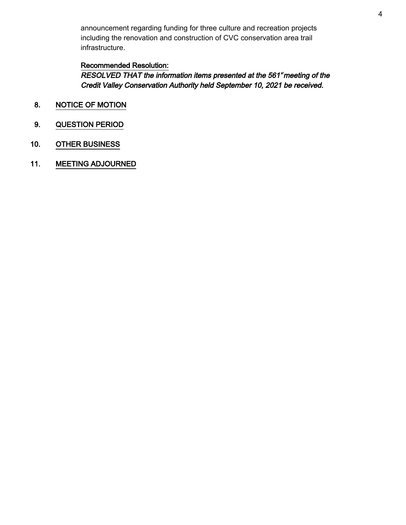announcement regarding funding for three culture and recreation projects including the renovation and construction of CVC conservation area trail infrastructure.

#### Recommended Resolution:

RESOLVED THAT the information items presented at the 561\*meeting of the Credit Valley Conservation Authority held September 10, 2021 be received.

- 8. NOTICE OF MOTION
- 9. QUESTION PERIOD
- 10. OTHER BUSINESS
- 11. MEETING ADJOURNED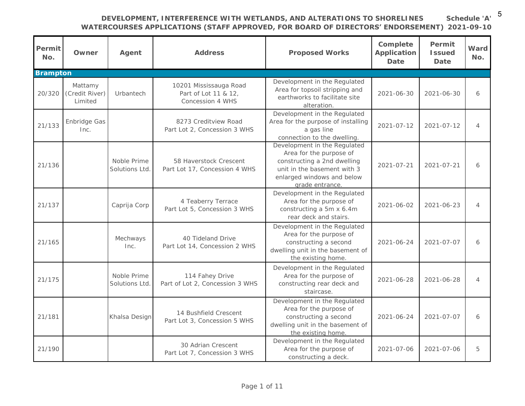**Schedule 'A'** 5

| Permit<br>No. | Owner                                | Agent                        | Address                                                            | Proposed Works                                                                                                                                                         | Complete<br>Application<br>Date | Permit<br><b>Issued</b><br>Date | Ward<br>No.    |
|---------------|--------------------------------------|------------------------------|--------------------------------------------------------------------|------------------------------------------------------------------------------------------------------------------------------------------------------------------------|---------------------------------|---------------------------------|----------------|
| Brampton      |                                      |                              |                                                                    |                                                                                                                                                                        |                                 |                                 |                |
| 20/320        | Mattamy<br>(Credit River)<br>Limited | Urbantech                    | 10201 Mississauga Road<br>Part of Lot 11 & 12,<br>Concession 4 WHS | Development in the Regulated<br>Area for topsoil stripping and<br>earthworks to facilitate site<br>alteration.                                                         | 2021-06-30                      | $2021 - 06 - 30$                | 6              |
| 21/133        | Enbridge Gas<br>Inc.                 |                              | 8273 Creditview Road<br>Part Lot 2, Concession 3 WHS               | Development in the Regulated<br>Area for the purpose of installing<br>a gas line<br>connection to the dwelling.                                                        | $2021 - 07 - 12$                | $2021 - 07 - 12$                | $\overline{4}$ |
| 21/136        |                                      | Noble Prime<br>Solutions Ltd | 58 Haverstock Crescent<br>Part Lot 17, Concession 4 WHS            | Development in the Regulated<br>Area for the purpose of<br>constructing a 2nd dwelling<br>unit in the basement with 3<br>enlarged windows and below<br>grade entrance. | $2021 - 07 - 21$                | $2021 - 07 - 21$                | 6              |
| 21/137        |                                      | Caprija Corp                 | 4 Teaberry Terrace<br>Part Lot 5, Concession 3 WHS                 | Development in the Regulated<br>Area for the purpose of<br>constructing a 5m x 6.4m<br>rear deck and stairs.                                                           | 2021-06-02                      | $2021 - 06 - 23$                | $\overline{4}$ |
| 21/165        |                                      | Mechways<br>Inc.             | 40 Tideland Drive<br>Part Lot 14, Concession 2 WHS                 | Development in the Regulated<br>Area for the purpose of<br>constructing a second<br>dwelling unit in the basement of<br>the existing home.                             | $2021 - 06 - 24$                | $2021 - 07 - 07$                | 6              |
| 21/175        |                                      | Noble Prime<br>Solutions Ltd | 114 Fahey Drive<br>Part of Lot 2, Concession 3 WHS                 | Development in the Regulated<br>Area for the purpose of<br>constructing rear deck and<br>staircase.                                                                    | 2021-06-28                      | 2021-06-28                      | $\overline{4}$ |
| 21/181        |                                      | Khalsa Design                | 14 Bushfield Crescent<br>Part Lot 3, Concession 5 WHS              | Development in the Regulated<br>Area for the purpose of<br>constructing a second<br>dwelling unit in the basement of<br>the existing home.                             | $2021 - 06 - 24$                | $2021 - 07 - 07$                | 6              |
| 21/190        |                                      |                              | 30 Adrian Crescent<br>Part Lot 7, Concession 3 WHS                 | Development in the Regulated<br>Area for the purpose of<br>constructing a deck.                                                                                        | 2021-07-06                      | 2021-07-06                      | 5              |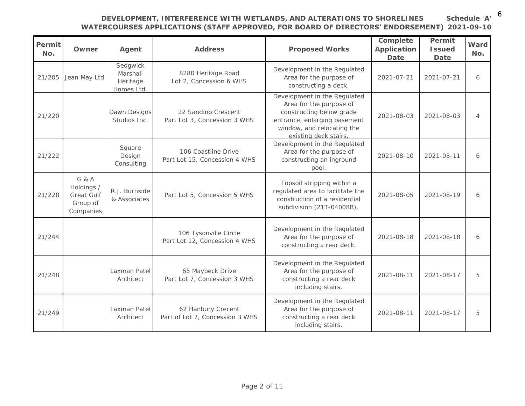6

|               |               |                                                | DEVELOPMENT, INTERFERENCE WITH WETLANDS, AND ALTERATIONS TO SHORELINES<br>WATERCOURSES APPLICATIONS (STAFF APPROVED, FOR BOARD OF DIRECTORS' ENDORSEMENT) |                                                                                                                                                                            |                                 |                                 | Schedule 'A'<br>2021-09-10 |
|---------------|---------------|------------------------------------------------|-----------------------------------------------------------------------------------------------------------------------------------------------------------|----------------------------------------------------------------------------------------------------------------------------------------------------------------------------|---------------------------------|---------------------------------|----------------------------|
| Permit<br>No. | Owner         | Agent                                          | Address                                                                                                                                                   | Proposed Works                                                                                                                                                             | Complete<br>Application<br>Date | Permit<br><b>Issued</b><br>Date | Ward<br>No.                |
| 21/205        | Jean May Ltd. | Sedgwick<br>Marshall<br>Heritage<br>Homes Ltd. | 8280 Heritage Road<br>Lot 2, Concession 6 WHS                                                                                                             | Development in the Regulated<br>Area for the purpose of<br>constructing a deck.                                                                                            | $2021 - 07 - 21$                | $2021 - 07 - 21$                | 6                          |
| 21/220        |               | Dawn Designs<br>Studios Inc.                   | 22 Sandino Crescent<br>Part Lot 3, Concession 3 WHS                                                                                                       | Development in the Regulated<br>Area for the purpose of<br>constructing below grade<br>entrance, enlarging basement<br>window, and relocating the<br>existing deck stairs. | $2021 - 08 - 03$                | 2021-08-03                      | $\overline{4}$             |
| 21/222        |               | Square<br>Design<br>Consulting                 | 106 Coastline Drive<br>Part Lot 15, Concession 4 WHS                                                                                                      | Development in the Regulated<br>Area for the purpose of<br>constructing an inground<br>pool.                                                                               | 2021-08-10                      | 2021-08-11                      | 6                          |

| 21/205 | Jean May Ltd.                                              | Sedgwick<br>Marshall<br>Heritage<br>Homes Ltd. | 8280 Heritage Road<br>Lot 2, Concession 6 WHS          | Development in the Regulated<br>Area for the purpose of<br>constructing a deck.                                                                                            | $2021 - 07 - 21$ | $2021 - 07 - 21$ | 6              |
|--------|------------------------------------------------------------|------------------------------------------------|--------------------------------------------------------|----------------------------------------------------------------------------------------------------------------------------------------------------------------------------|------------------|------------------|----------------|
| 21/220 |                                                            | Dawn Designs<br>Studios Inc.                   | 22 Sandino Crescent<br>Part Lot 3, Concession 3 WHS    | Development in the Regulated<br>Area for the purpose of<br>constructing below grade<br>entrance, enlarging basement<br>window, and relocating the<br>existing deck stairs. | 2021-08-03       | 2021-08-03       | $\overline{4}$ |
| 21/222 |                                                            | Square<br>Design<br>Consulting                 | 106 Coastline Drive<br>Part Lot 15, Concession 4 WHS   | Development in the Regulated<br>Area for the purpose of<br>constructing an inground<br>pool.                                                                               | 2021-08-10       | 2021-08-11       | 6              |
| 21/228 | G & A<br>Holdings /<br>Great Gulf<br>Group of<br>Companies | R.J. Burnside<br>& Associates                  | Part Lot 5, Concession 5 WHS                           | Topsoil stripping within a<br>regulated area to facilitate the<br>construction of a residential<br>subdivision (21T-04008B).                                               | 2021-08-05       | 2021-08-19       | 6              |
| 21/244 |                                                            |                                                | 106 Tysonville Circle<br>Part Lot 12, Concession 4 WHS | Development in the Regulated<br>Area for the purpose of<br>constructing a rear deck.                                                                                       | 2021-08-18       | $2021 - 08 - 18$ | 6              |
| 21/248 |                                                            | Laxman Patel<br>Architect                      | 65 Maybeck Drive<br>Part Lot 7, Concession 3 WHS       | Development in the Regulated<br>Area for the purpose of<br>constructing a rear deck<br>including stairs.                                                                   | $2021 - 08 - 11$ | 2021-08-17       | 5              |
| 21/249 |                                                            | Laxman Patel<br>Architect                      | 62 Hanbury Crecent<br>Part of Lot 7, Concession 3 WHS  | Development in the Regulated<br>Area for the purpose of<br>constructing a rear deck<br>including stairs.                                                                   | $2021 - 08 - 11$ | 2021-08-17       | 5              |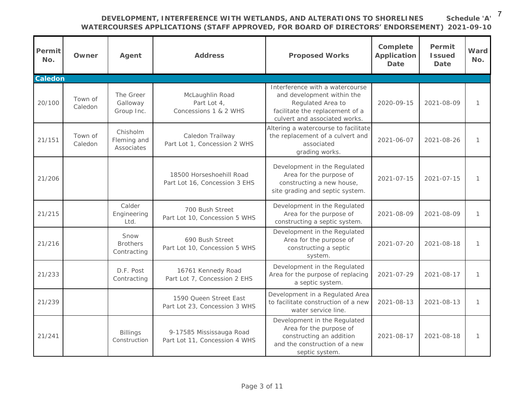| Permit<br>No. | Owner              | Agent                                  | Address                                                   | Proposed Works                                                                                                                                         | Complete<br>Application<br>Date | Permit<br><b>Issued</b><br>Date | Ward<br>No.   |
|---------------|--------------------|----------------------------------------|-----------------------------------------------------------|--------------------------------------------------------------------------------------------------------------------------------------------------------|---------------------------------|---------------------------------|---------------|
| Caledon       |                    |                                        |                                                           |                                                                                                                                                        |                                 |                                 |               |
| 20/100        | Town of<br>Caledon | The Greer<br>Galloway<br>Group Inc.    | McLaughlin Road<br>Part Lot 4,<br>Concessions 1 & 2 WHS   | Interference with a watercourse<br>and development within the<br>Regulated Area to<br>facilitate the replacement of a<br>culvert and associated works. | 2020-09-15                      | 2021-08-09                      | $\mathcal{I}$ |
| 21/151        | Town of<br>Caledon | Chisholm<br>Fleming and<br>Associates  | Caledon Trailway<br>Part Lot 1, Concession 2 WHS          | Altering a watercourse to facilitate<br>the replacement of a culvert and<br>associated<br>grading works.                                               | $2021 - 06 - 07$                | 2021-08-26                      | $\mathcal{I}$ |
| 21/206        |                    |                                        | 18500 Horseshoehill Road<br>Part Lot 16, Concession 3 EHS | Development in the Regulated<br>Area for the purpose of<br>constructing a new house,<br>site grading and septic system.                                | $2021 - 07 - 15$                | $2021 - 07 - 15$                | $\mathcal{I}$ |
| 21/215        |                    | Calder<br>Engineering<br>Ltd.          | 700 Bush Street<br>Part Lot 10, Concession 5 WHS          | Development in the Regulated<br>Area for the purpose of<br>constructing a septic system.                                                               | 2021-08-09                      | 2021-08-09                      | $\mathcal{I}$ |
| 21/216        |                    | Snow<br><b>Brothers</b><br>Contracting | 690 Bush Street<br>Part Lot 10, Concession 5 WHS          | Development in the Regulated<br>Area for the purpose of<br>constructing a septic<br>system.                                                            | $2021 - 07 - 20$                | $2021 - 08 - 18$                | $\mathcal{I}$ |
| 21/233        |                    | D.F. Post<br>Contracting               | 16761 Kennedy Road<br>Part Lot 7, Concession 2 EHS        | Development in the Regulated<br>Area for the purpose of replacing<br>a septic system.                                                                  | $2021 - 07 - 29$                | $2021 - 08 - 17$                | $\mathcal{I}$ |
| 21/239        |                    |                                        | 1590 Queen Street East<br>Part Lot 23, Concession 3 WHS   | Development in a Regulated Area<br>to facilitate construction of a new<br>water service line.                                                          | 2021-08-13                      | 2021-08-13                      | $\mathcal{I}$ |
| 21/241        |                    | <b>Billings</b><br>Construction        | 9-17585 Mississauga Road<br>Part Lot 11, Concession 4 WHS | Development in the Regulated<br>Area for the purpose of<br>constructing an addition<br>and the construction of a new<br>septic system.                 | 2021-08-17                      | 2021-08-18                      | $\mathcal{I}$ |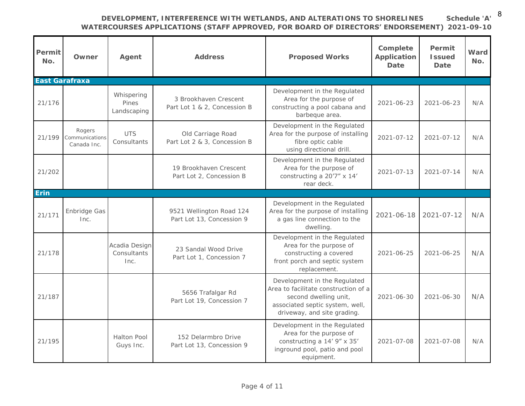**WATERCOURSES APPLICATIONS (STAFF APPROVED, FOR BOARD OF DIRECTORS' ENDORSEMENT) 2021-09-10 Schedule 'A'** 8

| Permit<br>No.  | Owner                                   | Agent                                | Address                                               | Proposed Works                                                                                                                                                  | Complete<br>Application<br>Date | Permit<br><b>Issued</b><br>Date | Ward<br>No. |
|----------------|-----------------------------------------|--------------------------------------|-------------------------------------------------------|-----------------------------------------------------------------------------------------------------------------------------------------------------------------|---------------------------------|---------------------------------|-------------|
| East Garafraxa |                                         |                                      |                                                       |                                                                                                                                                                 |                                 |                                 |             |
| 21/176         |                                         | Whispering<br>Pines<br>Landscaping   | 3 Brookhaven Crescent<br>Part Lot 1 & 2, Concession B | Development in the Regulated<br>Area for the purpose of<br>constructing a pool cabana and<br>barbeque area.                                                     | $2021 - 06 - 23$                | 2021-06-23                      | N/A         |
| 21/199         | Rogers<br>Communications<br>Canada Inc. | <b>UTS</b><br>Consultants            | Old Carriage Road<br>Part Lot 2 & 3, Concession B     | Development in the Regulated<br>Area for the purpose of installing<br>fibre optic cable<br>using directional drill.                                             | 2021-07-12                      | $2021 - 07 - 12$                | N/A         |
| 21/202         |                                         |                                      | 19 Brookhaven Crescent<br>Part Lot 2, Concession B    | Development in the Regulated<br>Area for the purpose of<br>constructing a 20'7" x 14'<br>rear deck.                                                             | $2021 - 07 - 13$                | $2021 - 07 - 14$                | N/A         |
| Erin           |                                         |                                      |                                                       |                                                                                                                                                                 |                                 |                                 |             |
| 21/171         | Enbridge Gas<br>Inc.                    |                                      | 9521 Wellington Road 124<br>Part Lot 13, Concession 9 | Development in the Regulated<br>Area for the purpose of installing<br>a gas line connection to the<br>dwelling.                                                 | $2021 - 06 - 18$                | $2021 - 07 - 12$                | N/A         |
| 21/178         |                                         | Acadia Design<br>Consultants<br>Inc. | 23 Sandal Wood Drive<br>Part Lot 1, Concession 7      | Development in the Regulated<br>Area for the purpose of<br>constructing a covered<br>front porch and septic system<br>replacement.                              | 2021-06-25                      | $2021 - 06 - 25$                | N/A         |
| 21/187         |                                         |                                      | 5656 Trafalgar Rd<br>Part Lot 19, Concession 7        | Development in the Regulated<br>Area to facilitate construction of a<br>second dwelling unit,<br>associated septic system, well,<br>driveway, and site grading. | $2021 - 06 - 30$                | $2021 - 06 - 30$                | N/A         |
| 21/195         |                                         | Halton Pool<br>Guys Inc.             | 152 Delarmbro Drive<br>Part Lot 13, Concession 9      | Development in the Regulated<br>Area for the purpose of<br>constructing a 14' 9" x 35'<br>inground pool, patio and pool<br>equipment.                           | 2021-07-08                      | $2021 - 07 - 08$                | N/A         |

Page 4 of 11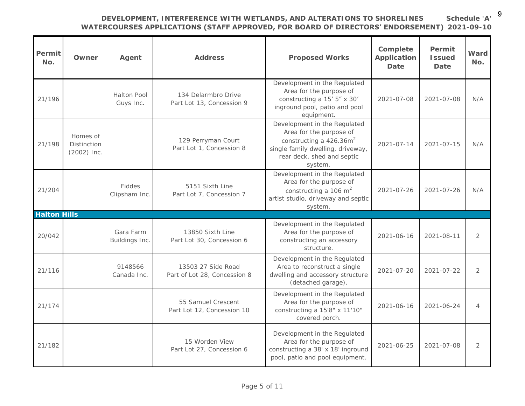9

**Schedule 'A'**

## **DEVELOPMENT, INTERFERENCE WITH WETLANDS, AND ALTERATIONS TO SHORELINES**

| Permit<br>No.       | Owner                                         | Agent                          | Address                                            | Proposed Works                                                                                                                                                      | Complete<br>Application<br>Date | Permit<br><b>Issued</b><br>Date | Ward<br>No.    |
|---------------------|-----------------------------------------------|--------------------------------|----------------------------------------------------|---------------------------------------------------------------------------------------------------------------------------------------------------------------------|---------------------------------|---------------------------------|----------------|
| 21/196              |                                               | Halton Pool<br>Guys Inc.       | 134 Delarmbro Drive<br>Part Lot 13, Concession 9   | Development in the Regulated<br>Area for the purpose of<br>constructing a 15' 5" x 30'<br>inground pool, patio and pool<br>equipment.                               | 2021-07-08                      | $2021 - 07 - 08$                | N/A            |
| 21/198              | Homes of<br><b>Distinction</b><br>(2002) Inc. |                                | 129 Perryman Court<br>Part Lot 1, Concession 8     | Development in the Regulated<br>Area for the purpose of<br>constructing a $426.36m^2$<br>single family dwelling, driveway,<br>rear deck, shed and septic<br>system. | $2021 - 07 - 14$                | $2021 - 07 - 15$                | N/A            |
| 21/204              |                                               | <b>Fiddes</b><br>Clipsham Inc. | 5151 Sixth Line<br>Part Lot 7, Concession 7        | Development in the Regulated<br>Area for the purpose of<br>constructing a 106 $m2$<br>artist studio, driveway and septic<br>system.                                 | $2021 - 07 - 26$                | $2021 - 07 - 26$                | N/A            |
| <b>Halton Hills</b> |                                               |                                |                                                    |                                                                                                                                                                     |                                 |                                 |                |
| 20/042              |                                               | Gara Farm<br>Buildings Inc.    | 13850 Sixth Line<br>Part Lot 30, Concession 6      | Development in the Regulated<br>Area for the purpose of<br>constructing an accessory<br>structure.                                                                  | $2021 - 06 - 16$                | $2021 - 08 - 11$                | $\overline{2}$ |
| 21/116              |                                               | 9148566<br>Canada Inc.         | 13503 27 Side Road<br>Part of Lot 28, Concession 8 | Development in the Regulated<br>Area to reconstruct a single<br>dwelling and accessory structure<br>(detached garage).                                              | $2021 - 07 - 20$                | $2021 - 07 - 22$                | $\overline{2}$ |
| 21/174              |                                               |                                | 55 Samuel Crescent<br>Part Lot 12, Concession 10   | Development in the Regulated<br>Area for the purpose of<br>constructing a 15'8" x 11'10"<br>covered porch.                                                          | $2021 - 06 - 16$                | $2021 - 06 - 24$                | $\overline{4}$ |
| 21/182              |                                               |                                | 15 Worden View<br>Part Lot 27, Concession 6        | Development in the Regulated<br>Area for the purpose of<br>constructing a 38' x 18' inground<br>pool, patio and pool equipment.                                     | $2021 - 06 - 25$                | 2021-07-08                      | $\overline{2}$ |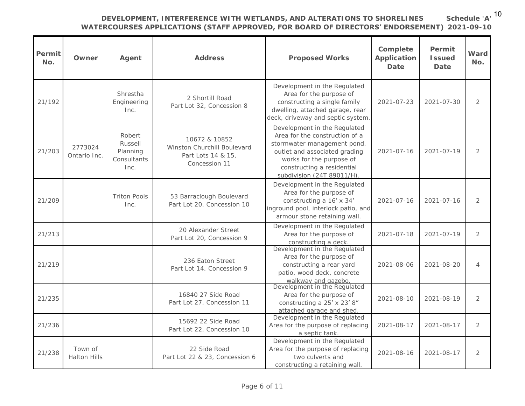**Schedule 'A'** 10

## **DEVELOPMENT, INTERFERENCE WITH WETLANDS, AND ALTERATIONS TO SHORELINES**

| Permit<br>No. | Owner                          | Agent                                                | Address                                                                             | Proposed Works                                                                                                                                                                                                        | Complete<br>Application<br>Date | Permit<br><b>Issued</b><br>Date | Ward<br>No.    |
|---------------|--------------------------------|------------------------------------------------------|-------------------------------------------------------------------------------------|-----------------------------------------------------------------------------------------------------------------------------------------------------------------------------------------------------------------------|---------------------------------|---------------------------------|----------------|
| 21/192        |                                | Shrestha<br>Engineering<br>Inc.                      | 2 Shortill Road<br>Part Lot 32, Concession 8                                        | Development in the Regulated<br>Area for the purpose of<br>constructing a single family<br>dwelling, attached garage, rear<br>deck, driveway and septic system                                                        | $2021 - 07 - 23$                | $2021 - 07 - 30$                | $\overline{2}$ |
| 21/203        | 2773024<br>Ontario Inc.        | Robert<br>Russell<br>Planning<br>Consultants<br>Inc. | 10672 & 10852<br>Winston Churchill Boulevard<br>Part Lots 14 & 15,<br>Concession 11 | Development in the Regulated<br>Area for the construction of a<br>stormwater management pond,<br>outlet and associated grading<br>works for the purpose of<br>constructing a residential<br>subdivision (24T 89011/H) | $2021 - 07 - 16$                | $2021 - 07 - 19$                | $\overline{2}$ |
| 21/209        |                                | <b>Triton Pools</b><br>Inc.                          | 53 Barraclough Boulevard<br>Part Lot 20, Concession 10                              | Development in the Regulated<br>Area for the purpose of<br>constructing a 16' x 34'<br>inground pool, interlock patio, and<br>armour stone retaining wall.                                                            | $2021 - 07 - 16$                | $2021 - 07 - 16$                | $\overline{2}$ |
| 21/213        |                                |                                                      | 20 Alexander Street<br>Part Lot 20, Concession 9                                    | Development in the Regulated<br>Area for the purpose of<br>constructing a deck.                                                                                                                                       | $2021 - 07 - 18$                | 2021-07-19                      | $\overline{2}$ |
| 21/219        |                                |                                                      | 236 Eaton Street<br>Part Lot 14, Concession 9                                       | Development in the Regulated<br>Area for the purpose of<br>constructing a rear yard<br>patio, wood deck, concrete<br>walkway and gazebo.                                                                              | 2021-08-06                      | 2021-08-20                      | $\overline{4}$ |
| 21/235        |                                |                                                      | 16840 27 Side Road<br>Part Lot 27, Concession 11                                    | Development in the Regulated<br>Area for the purpose of<br>constructing a 25' x 23' 8"<br>attached garage and shed                                                                                                    | $2021 - 08 - 10$                | 2021-08-19                      | $\overline{2}$ |
| 21/236        |                                |                                                      | 15692 22 Side Road<br>Part Lot 22, Concession 10                                    | Development in the Regulated<br>Area for the purpose of replacing<br>a septic tank.                                                                                                                                   | $2021 - 08 - 17$                | 2021-08-17                      | $\overline{2}$ |
| 21/238        | Town of<br><b>Halton Hills</b> |                                                      | 22 Side Road<br>Part Lot 22 & 23, Concession 6                                      | Development in the Regulated<br>Area for the purpose of replacing<br>two culverts and<br>constructing a retaining wall.                                                                                               | $2021 - 08 - 16$                | 2021-08-17                      | $\overline{2}$ |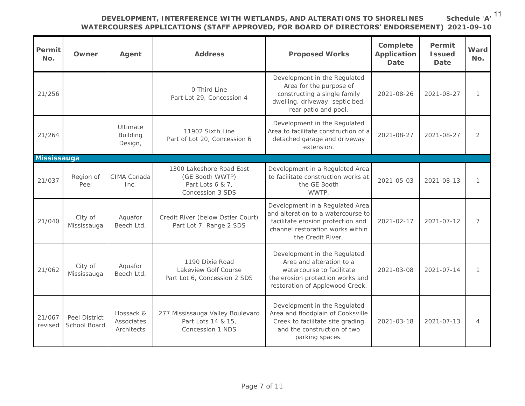**Schedule 'A'** 11

| Permit<br>No.         | Owner                         | Agent                                  | Address                                                                             | Proposed Works                                                                                                                                                      | Complete<br>Application<br>Date | Permit<br><b>Issued</b><br>Date | Ward<br>No.    |
|-----------------------|-------------------------------|----------------------------------------|-------------------------------------------------------------------------------------|---------------------------------------------------------------------------------------------------------------------------------------------------------------------|---------------------------------|---------------------------------|----------------|
| 21/256                |                               |                                        | 0 Third Line<br>Part Lot 29, Concession 4                                           | Development in the Regulated<br>Area for the purpose of<br>constructing a single family<br>dwelling, driveway, septic bed,<br>rear patio and pool.                  | 2021-08-26                      | 2021-08-27                      | $\mathbb{1}$   |
| 21/264                |                               | Ultimate<br><b>Building</b><br>Design, | 11902 Sixth Line<br>Part of Lot 20, Concession 6                                    | Development in the Regulated<br>Area to facilitate construction of a<br>detached garage and driveway<br>extension.                                                  | 2021-08-27                      | 2021-08-27                      | $\overline{2}$ |
| Mississauga<br>21/037 | Region of<br>Peel             | CIMA Canada<br>Inc.                    | 1300 Lakeshore Road East<br>(GE Booth WWTP)<br>Part Lots 6 & 7,<br>Concession 3 SDS | Development in a Regulated Area<br>to facilitate construction works at<br>the GE Booth<br>WWTP.                                                                     | $2021 - 05 - 03$                | $2021 - 08 - 13$                | $\mathcal{I}$  |
| 21/040                | City of<br>Mississauga        | Aquafor<br>Beech Ltd.                  | Credit River (below Ostler Court)<br>Part Lot 7, Range 2 SDS                        | Development in a Regulated Area<br>and alteration to a watercourse to<br>facilitate erosion protection and<br>channel restoration works within<br>the Credit River. | $2021 - 02 - 17$                | $2021 - 07 - 12$                | $\overline{7}$ |
| 21/062                | City of<br>Mississauga        | Aquafor<br>Beech Ltd.                  | 1190 Dixie Road<br>Lakeview Golf Course<br>Part Lot 6, Concession 2 SDS             | Development in the Regulated<br>Area and alteration to a<br>watercourse to facilitate<br>the erosion protection works and<br>restoration of Applewood Creek.        | $2021 - 03 - 08$                | $2021 - 07 - 14$                | 1              |
| 21/067<br>revised     | Peel District<br>School Board | Hossack &<br>Associates<br>Architects  | 277 Mississauga Valley Boulevard<br>Part Lots 14 & 15,<br>Concession 1 NDS          | Development in the Regulated<br>Area and floodplain of Cooksville<br>Creek to facilitate site grading<br>and the construction of two<br>parking spaces.             | $2021 - 03 - 18$                | $2021 - 07 - 13$                | $\overline{4}$ |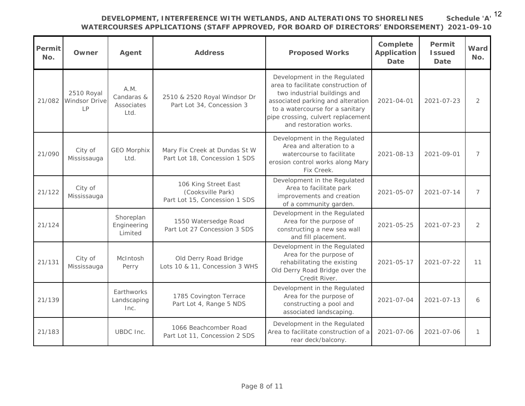**Schedule 'A'** 12

### **DEVELOPMENT, INTERFERENCE WITH WETLANDS, AND ALTERATIONS TO SHORELINES**

| Permit<br>No. | Owner                             | Agent                                    | Address                                                                    | Proposed Works                                                                                                                                                                                                                             | Complete<br>Application<br>Date | Permit<br><b>Issued</b><br>Date | Ward<br>No.    |
|---------------|-----------------------------------|------------------------------------------|----------------------------------------------------------------------------|--------------------------------------------------------------------------------------------------------------------------------------------------------------------------------------------------------------------------------------------|---------------------------------|---------------------------------|----------------|
| 21/082        | 2510 Royal<br>Windsor Drive<br> P | A.M.<br>Candaras &<br>Associates<br>Ltd. | 2510 & 2520 Royal Windsor Dr<br>Part Lot 34, Concession 3                  | Development in the Regulated<br>area to facilitate construction of<br>two industrial buildings and<br>associated parking and alteration<br>to a watercourse for a sanitary<br>pipe crossing, culvert replacement<br>and restoration works. | $2021 - 04 - 01$                | $2021 - 07 - 23$                | $\overline{2}$ |
| 21/090        | City of<br>Mississauga            | <b>GEO Morphix</b><br>Itd.               | Mary Fix Creek at Dundas St W<br>Part Lot 18, Concession 1 SDS             | Development in the Regulated<br>Area and alteration to a<br>watercourse to facilitate<br>erosion control works along Mary<br>Fix Creek.                                                                                                    | 2021-08-13                      | 2021-09-01                      | $\overline{7}$ |
| 21/122        | City of<br>Mississauga            |                                          | 106 King Street East<br>(Cooksville Park)<br>Part Lot 15, Concession 1 SDS | Development in the Regulated<br>Area to facilitate park<br>improvements and creation<br>of a community garden.                                                                                                                             | 2021-05-07                      | $2021 - 07 - 14$                | $\overline{7}$ |
| 21/124        |                                   | Shoreplan<br>Engineering<br>Limited      | 1550 Watersedge Road<br>Part Lot 27 Concession 3 SDS                       | Development in the Regulated<br>Area for the purpose of<br>constructing a new sea wall<br>and fill placement.                                                                                                                              | $2021 - 05 - 25$                | $2021 - 07 - 23$                | $\overline{2}$ |
| 21/131        | City of<br>Mississauga            | McIntosh<br>Perry                        | Old Derry Road Bridge<br>Lots 10 & 11, Concession 3 WHS                    | Development in the Regulated<br>Area for the purpose of<br>rehabilitating the existing<br>Old Derry Road Bridge over the<br>Credit River.                                                                                                  | $2021 - 05 - 17$                | $2021 - 07 - 22$                | 11             |
| 21/139        |                                   | <b>Farthworks</b><br>Landscaping<br>Inc. | 1785 Covington Terrace<br>Part Lot 4, Range 5 NDS                          | Development in the Regulated<br>Area for the purpose of<br>constructing a pool and<br>associated landscaping                                                                                                                               | $2021 - 07 - 04$                | $2021 - 07 - 13$                | 6              |
| 21/183        |                                   | UBDC Inc.                                | 1066 Beachcomber Road<br>Part Lot 11, Concession 2 SDS                     | Development in the Regulated<br>Area to facilitate construction of a<br>rear deck/balcony.                                                                                                                                                 | 2021-07-06                      | 2021-07-06                      | $\mathbf{1}$   |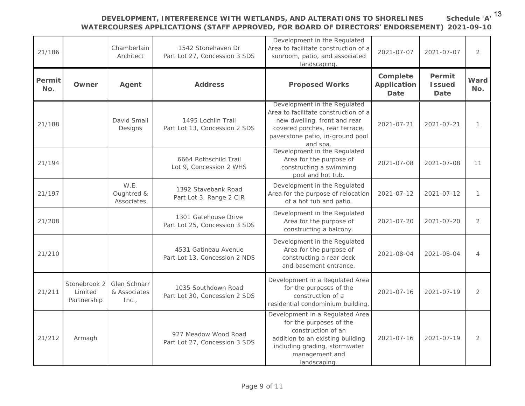| 21/186        |                                        | Chamberlain<br>Architect             | 1542 Stonehaven Dr<br>Part Lot 27, Concession 3 SDS   | Development in the Regulated<br>Area to facilitate construction of a<br>sunroom, patio, and associated<br>landscaping                                                                  | $2021 - 07 - 07$                | $2021 - 07 - 07$                | $\overline{2}$ |
|---------------|----------------------------------------|--------------------------------------|-------------------------------------------------------|----------------------------------------------------------------------------------------------------------------------------------------------------------------------------------------|---------------------------------|---------------------------------|----------------|
| Permit<br>No. | Owner                                  | Agent                                | Address                                               | Proposed Works                                                                                                                                                                         | Complete<br>Application<br>Date | Permit<br><b>Issued</b><br>Date | Ward<br>No.    |
| 21/188        |                                        | David Small<br>Designs               | 1495 Lochlin Trail<br>Part Lot 13, Concession 2 SDS   | Development in the Regulated<br>Area to facilitate construction of a<br>new dwelling, front and rear<br>covered porches, rear terrace,<br>paverstone patio, in-ground pool<br>and spa. | $2021 - 07 - 21$                | $2021 - 07 - 21$                | $\mathcal{I}$  |
| 21/194        |                                        |                                      | 6664 Rothschild Trail<br>Lot 9, Concession 2 WHS      | Development in the Regulated<br>Area for the purpose of<br>constructing a swimming<br>pool and hot tub.                                                                                | 2021-07-08                      | $2021 - 07 - 08$                | 11             |
| 21/197        |                                        | W.E.<br>Oughtred &<br>Associates     | 1392 Stavebank Road<br>Part Lot 3, Range 2 CIR        | Development in the Regulated<br>Area for the purpose of relocation<br>of a hot tub and patio.                                                                                          | $2021 - 07 - 12$                | $2021 - 07 - 12$                | $\mathbf{1}$   |
| 21/208        |                                        |                                      | 1301 Gatehouse Drive<br>Part Lot 25, Concession 3 SDS | Development in the Regulated<br>Area for the purpose of<br>constructing a balcony.                                                                                                     | $2021 - 07 - 20$                | $2021 - 07 - 20$                | $\overline{2}$ |
| 21/210        |                                        |                                      | 4531 Gatineau Avenue<br>Part Lot 13, Concession 2 NDS | Development in the Regulated<br>Area for the purpose of<br>constructing a rear deck<br>and basement entrance.                                                                          | 2021-08-04                      | 2021-08-04                      | $\overline{4}$ |
| 21/211        | Stonebrook 2<br>Limited<br>Partnership | Glen Schnarr<br>& Associates<br>Inc. | 1035 Southdown Road<br>Part Lot 30, Concession 2 SDS  | Development in a Regulated Area<br>for the purposes of the<br>construction of a<br>residential condominium building.                                                                   | $2021 - 07 - 16$                | $2021 - 07 - 19$                | $\overline{2}$ |
| 21/212        | Armagh                                 |                                      | 927 Meadow Wood Road<br>Part Lot 27, Concession 3 SDS | Development in a Regulated Area<br>for the purposes of the<br>construction of an<br>addition to an existing building<br>including grading, stormwater<br>management and<br>landscaping | $2021 - 07 - 16$                | $2021 - 07 - 19$                | $\overline{2}$ |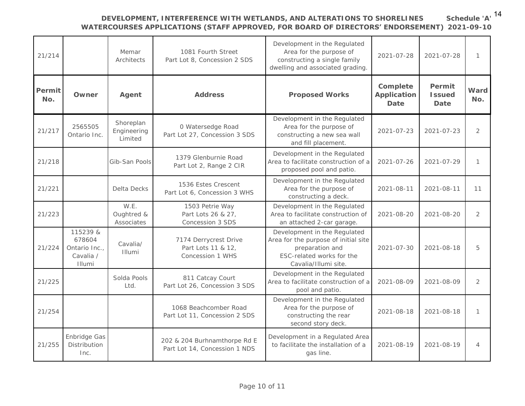| 21/214        |                                                            | Memar<br>Architects                 | 1081 Fourth Street<br>Part Lot 8, Concession 2 SDS              | Development in the Regulated<br>Area for the purpose of<br>constructing a single family<br>dwelling and associated grading                   | 2021-07-28                      | $2021 - 07 - 28$                | 1              |
|---------------|------------------------------------------------------------|-------------------------------------|-----------------------------------------------------------------|----------------------------------------------------------------------------------------------------------------------------------------------|---------------------------------|---------------------------------|----------------|
| Permit<br>No. | Owner                                                      | Agent                               | Address                                                         | Proposed Works                                                                                                                               | Complete<br>Application<br>Date | Permit<br><b>Issued</b><br>Date | Ward<br>No.    |
| 21/217        | 2565505<br>Ontario Inc.                                    | Shoreplan<br>Engineering<br>Limited | 0 Watersedge Road<br>Part Lot 27, Concession 3 SDS              | Development in the Regulated<br>Area for the purpose of<br>constructing a new sea wall<br>and fill placement.                                | $2021 - 07 - 23$                | $2021 - 07 - 23$                | $\overline{2}$ |
| 21/218        |                                                            | Gib-San Pools                       | 1379 Glenburnie Road<br>Part Lot 2, Range 2 CIR                 | Development in the Regulated<br>Area to facilitate construction of a<br>proposed pool and patio.                                             | 2021-07-26                      | $2021 - 07 - 29$                | 1              |
| 21/221        |                                                            | Delta Decks                         | 1536 Estes Crescent<br>Part Lot 6, Concession 3 WHS             | Development in the Regulated<br>Area for the purpose of<br>constructing a deck.                                                              | 2021-08-11                      | 2021-08-11                      | 11             |
| 21/223        |                                                            | W.E.<br>Oughtred &<br>Associates    | 1503 Petrie Way<br>Part Lots 26 & 27,<br>Concession 3 SDS       | Development in the Regulated<br>Area to facilitate construction of<br>an attached 2-car garage.                                              | 2021-08-20                      | $2021 - 08 - 20$                | $\overline{2}$ |
| 21/224        | 115239 &<br>678604<br>Ontario Inc.,<br>Cavalia /<br>Illumi | Cavalia/<br>Illumi                  | 7174 Derrycrest Drive<br>Part Lots 11 & 12,<br>Concession 1 WHS | Development in the Regulated<br>Area for the purpose of initial site<br>preparation and<br>ESC-related works for the<br>Cavalia/Illumi site. | $2021 - 07 - 30$                | 2021-08-18                      | 5              |
| 21/225        |                                                            | Solda Pools<br>Ltd.                 | 811 Catcay Court<br>Part Lot 26, Concession 3 SDS               | Development in the Regulated<br>Area to facilitate construction of a<br>pool and patio.                                                      | $2021 - 08 - 09$                | $2021 - 08 - 09$                | $\overline{2}$ |
| 21/254        |                                                            |                                     | 1068 Beachcomber Road<br>Part Lot 11, Concession 2 SDS          | Development in the Regulated<br>Area for the purpose of<br>constructing the rear<br>second story deck.                                       | 2021-08-18                      | $2021 - 08 - 18$                | $\mathbf{1}$   |
| 21/255        | Enbridge Gas<br>Distribution<br>Inc.                       |                                     | 202 & 204 Burhnamthorpe Rd E<br>Part Lot 14, Concession 1 NDS   | Development in a Regulated Area<br>to facilitate the installation of a<br>gas line.                                                          | 2021-08-19                      | 2021-08-19                      | $\overline{4}$ |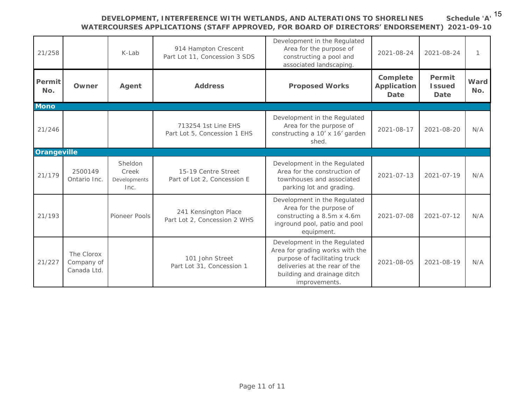**Schedule 'A'** 15

| 21/258        |                                         | K-Lab                                    | 914 Hampton Crescent<br>Part Lot 11, Concession 3 SDS | Development in the Regulated<br>Area for the purpose of<br>constructing a pool and<br>associated landscaping.                                                                     | 2021-08-24                      | 2021-08-24                      | $\mathcal{I}$ |
|---------------|-----------------------------------------|------------------------------------------|-------------------------------------------------------|-----------------------------------------------------------------------------------------------------------------------------------------------------------------------------------|---------------------------------|---------------------------------|---------------|
| Permit<br>No. | Owner                                   | Agent                                    | Address                                               | Proposed Works                                                                                                                                                                    | Complete<br>Application<br>Date | Permit<br><b>Issued</b><br>Date | Ward<br>No.   |
| Mono          |                                         |                                          |                                                       |                                                                                                                                                                                   |                                 |                                 |               |
| 21/246        |                                         |                                          | 713254 1st Line EHS<br>Part Lot 5, Concession 1 EHS   | Development in the Regulated<br>Area for the purpose of<br>constructing a 10' x 16' garden<br>shed.                                                                               | 2021-08-17                      | 2021-08-20                      | N/A           |
| Orangeville   |                                         |                                          |                                                       |                                                                                                                                                                                   |                                 |                                 |               |
| 21/179        | 2500149<br>Ontario Inc.                 | Sheldon<br>Creek<br>Developments<br>Inc. | 15-19 Centre Street<br>Part of Lot 2, Concession E    | Development in the Regulated<br>Area for the construction of<br>townhouses and associated<br>parking lot and grading.                                                             | $2021 - 07 - 13$                | $2021 - 07 - 19$                | N/A           |
| 21/193        |                                         | Pioneer Pools                            | 241 Kensington Place<br>Part Lot 2, Concession 2 WHS  | Development in the Regulated<br>Area for the purpose of<br>constructing a 8.5m x 4.6m<br>inground pool, patio and pool<br>equipment.                                              | 2021-07-08                      | $2021 - 07 - 12$                | N/A           |
| 21/227        | The Clorox<br>Company of<br>Canada Ltd. |                                          | 101 John Street<br>Part Lot 31, Concession 1          | Development in the Regulated<br>Area for grading works with the<br>purpose of facilitating truck<br>deliveries at the rear of the<br>building and drainage ditch<br>improvements. | 2021-08-05                      | $2021 - 08 - 19$                | N/A           |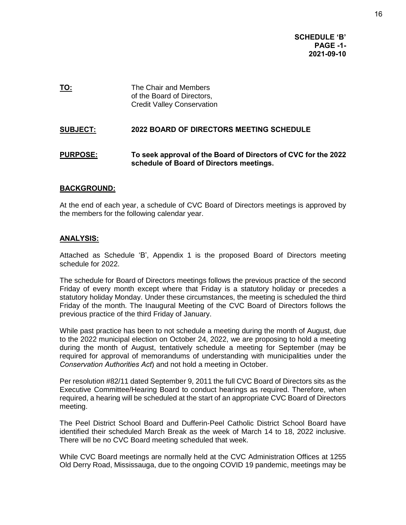**SCHEDULE 'B' PAGE -1- 2021-09-10**

**TO:** The Chair and Members of the Board of Directors, Credit Valley Conservation

#### **SUBJECT: 2022 BOARD OF DIRECTORS MEETING SCHEDULE**

#### **PURPOSE: To seek approval of the Board of Directors of CVC for the 2022 schedule of Board of Directors meetings.**

#### **BACKGROUND:**

At the end of each year, a schedule of CVC Board of Directors meetings is approved by the members for the following calendar year.

#### **ANALYSIS:**

Attached as Schedule 'B', Appendix 1 is the proposed Board of Directors meeting schedule for 2022.

The schedule for Board of Directors meetings follows the previous practice of the second Friday of every month except where that Friday is a statutory holiday or precedes a statutory holiday Monday. Under these circumstances, the meeting is scheduled the third Friday of the month. The Inaugural Meeting of the CVC Board of Directors follows the previous practice of the third Friday of January.

While past practice has been to not schedule a meeting during the month of August, due to the 2022 municipal election on October 24, 2022, we are proposing to hold a meeting during the month of August, tentatively schedule a meeting for September (may be required for approval of memorandums of understanding with municipalities under the *Conservation Authorities Act*) and not hold a meeting in October.

Per resolution #82/11 dated September 9, 2011 the full CVC Board of Directors sits as the Executive Committee/Hearing Board to conduct hearings as required. Therefore, when required, a hearing will be scheduled at the start of an appropriate CVC Board of Directors meeting.

The Peel District School Board and Dufferin-Peel Catholic District School Board have identified their scheduled March Break as the week of March 14 to 18, 2022 inclusive. There will be no CVC Board meeting scheduled that week.

While CVC Board meetings are normally held at the CVC Administration Offices at 1255 Old Derry Road, Mississauga, due to the ongoing COVID 19 pandemic, meetings may be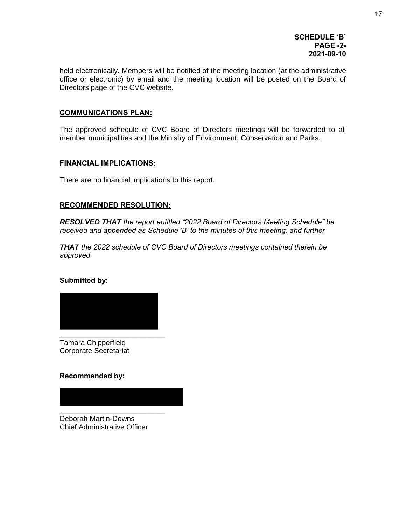#### **SCHEDULE 'B' PAGE -2- 2021-09-10**

held electronically. Members will be notified of the meeting location (at the administrative office or electronic) by email and the meeting location will be posted on the Board of Directors page of the CVC website.

#### **COMMUNICATIONS PLAN:**

The approved schedule of CVC Board of Directors meetings will be forwarded to all member municipalities and the Ministry of Environment, Conservation and Parks.

#### **FINANCIAL IMPLICATIONS:**

There are no financial implications to this report.

#### **RECOMMENDED RESOLUTION:**

*RESOLVED THAT the report entitled "2022 Board of Directors Meeting Schedule" be received and appended as Schedule 'B' to the minutes of this meeting; and further*

*THAT the 2022 schedule of CVC Board of Directors meetings contained therein be approved.* 

#### **Submitted by:**



Tamara Chipperfield Corporate Secretariat

#### **Recommended by:**

\_\_\_\_\_\_\_\_\_\_\_\_\_\_\_\_\_\_\_\_\_\_\_\_\_\_ Deborah Martin-Downs Chief Administrative Officer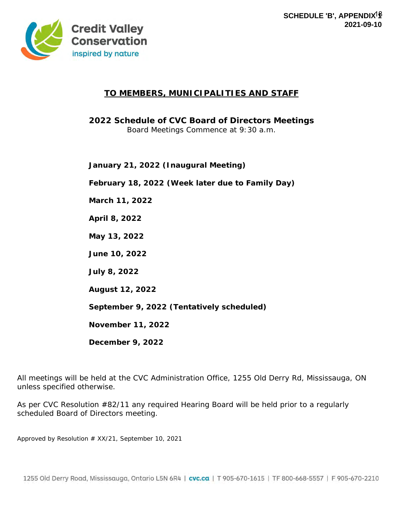

#### **TO MEMBERS, MUNICIPALITIES AND STAFF**

**2022 Schedule of CVC Board of Directors Meetings** Board Meetings Commence at 9:30 a.m.

**January 21, 2022 (Inaugural Meeting)**

**February 18, 2022 (Week later due to Family Day)**

**March 11, 2022**

**April 8, 2022**

**May 13, 2022**

**June 10, 2022**

**July 8, 2022**

**August 12, 2022**

**September 9, 2022 (Tentatively scheduled)**

**November 11, 2022**

**December 9, 2022**

All meetings will be held at the CVC Administration Office, 1255 Old Derry Rd, Mississauga, ON unless specified otherwise.

As per CVC Resolution #82/11 any required Hearing Board will be held prior to a regularly scheduled Board of Directors meeting.

*Approved by Resolution # XX/21, September 10, 2021*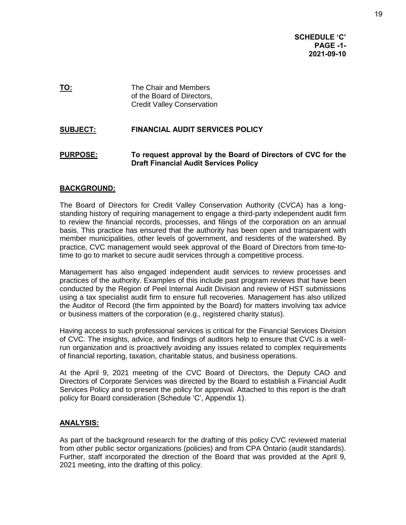**SCHEDULE 'C' PAGE -1- 2021-09-10**

**TO:** The Chair and Members of the Board of Directors, Credit Valley Conservation

#### **SUBJECT: FINANCIAL AUDIT SERVICES POLICY**

#### **PURPOSE: To request approval by the Board of Directors of CVC for the Draft Financial Audit Services Policy**

#### **BACKGROUND:**

The Board of Directors for Credit Valley Conservation Authority (CVCA) has a longstanding history of requiring management to engage a third-party independent audit firm to review the financial records, processes, and filings of the corporation on an annual basis. This practice has ensured that the authority has been open and transparent with member municipalities, other levels of government, and residents of the watershed. By practice, CVC management would seek approval of the Board of Directors from time-totime to go to market to secure audit services through a competitive process.

Management has also engaged independent audit services to review processes and practices of the authority. Examples of this include past program reviews that have been conducted by the Region of Peel Internal Audit Division and review of HST submissions using a tax specialist audit firm to ensure full recoveries. Management has also utilized the Auditor of Record (the firm appointed by the Board) for matters involving tax advice or business matters of the corporation (e.g., registered charity status).

Having access to such professional services is critical for the Financial Services Division of CVC. The insights, advice, and findings of auditors help to ensure that CVC is a wellrun organization and is proactively avoiding any issues related to complex requirements of financial reporting, taxation, charitable status, and business operations.

At the April 9, 2021 meeting of the CVC Board of Directors, the Deputy CAO and Directors of Corporate Services was directed by the Board to establish a Financial Audit Services Policy and to present the policy for approval. Attached to this report is the draft policy for Board consideration (Schedule 'C', Appendix 1).

#### **ANALYSIS:**

As part of the background research for the drafting of this policy CVC reviewed material from other public sector organizations (policies) and from CPA Ontario (audit standards). Further, staff incorporated the direction of the Board that was provided at the April 9, 2021 meeting, into the drafting of this policy.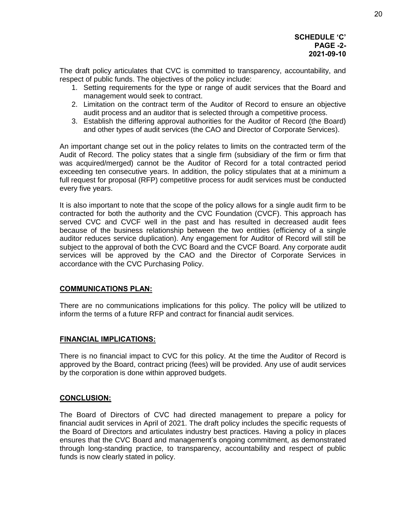#### **SCHEDULE 'C' PAGE -2- 2021-09-10**

The draft policy articulates that CVC is committed to transparency, accountability, and respect of public funds. The objectives of the policy include:

- 1. Setting requirements for the type or range of audit services that the Board and management would seek to contract.
- 2. Limitation on the contract term of the Auditor of Record to ensure an objective audit process and an auditor that is selected through a competitive process.
- 3. Establish the differing approval authorities for the Auditor of Record (the Board) and other types of audit services (the CAO and Director of Corporate Services).

An important change set out in the policy relates to limits on the contracted term of the Audit of Record. The policy states that a single firm (subsidiary of the firm or firm that was acquired/merged) cannot be the Auditor of Record for a total contracted period exceeding ten consecutive years. In addition, the policy stipulates that at a minimum a full request for proposal (RFP) competitive process for audit services must be conducted every five years.

It is also important to note that the scope of the policy allows for a single audit firm to be contracted for both the authority and the CVC Foundation (CVCF). This approach has served CVC and CVCF well in the past and has resulted in decreased audit fees because of the business relationship between the two entities (efficiency of a single auditor reduces service duplication). Any engagement for Auditor of Record will still be subject to the approval of both the CVC Board and the CVCF Board. Any corporate audit services will be approved by the CAO and the Director of Corporate Services in accordance with the CVC Purchasing Policy.

#### **COMMUNICATIONS PLAN:**

There are no communications implications for this policy. The policy will be utilized to inform the terms of a future RFP and contract for financial audit services.

#### **FINANCIAL IMPLICATIONS:**

There is no financial impact to CVC for this policy. At the time the Auditor of Record is approved by the Board, contract pricing (fees) will be provided. Any use of audit services by the corporation is done within approved budgets.

#### **CONCLUSION:**

The Board of Directors of CVC had directed management to prepare a policy for financial audit services in April of 2021. The draft policy includes the specific requests of the Board of Directors and articulates industry best practices. Having a policy in places ensures that the CVC Board and management's ongoing commitment, as demonstrated through long-standing practice, to transparency, accountability and respect of public funds is now clearly stated in policy.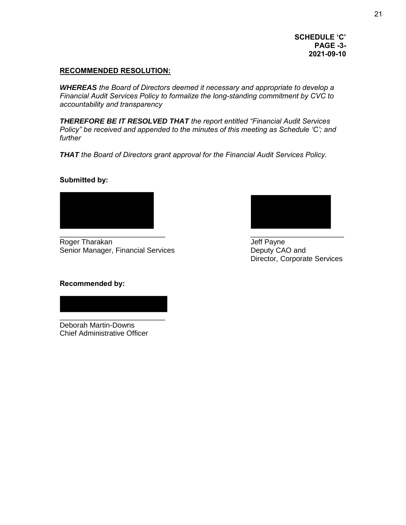**SCHEDULE 'C' PAGE -3- 2021-09-10**

#### **RECOMMENDED RESOLUTION:**

*WHEREAS the Board of Directors deemed it necessary and appropriate to develop a Financial Audit Services Policy to formalize the long-standing commitment by CVC to accountability and transparency* 

*THEREFORE BE IT RESOLVED THAT the report entitled "Financial Audit Services Policy" be received and appended to the minutes of this meeting as Schedule 'C'; and further* 

*THAT the Board of Directors grant approval for the Financial Audit Services Policy.*

#### **Submitted by:**



Roger Tharakan **Jeff Payne** Senior Manager, Financial Services **Example 20 Senior Manager**, Financial Services



Director, Corporate Services

#### **Recommended by:**

Deborah Martin-Downs Chief Administrative Officer

\_\_\_\_\_\_\_\_\_\_\_\_\_\_\_\_\_\_\_\_\_\_\_\_\_\_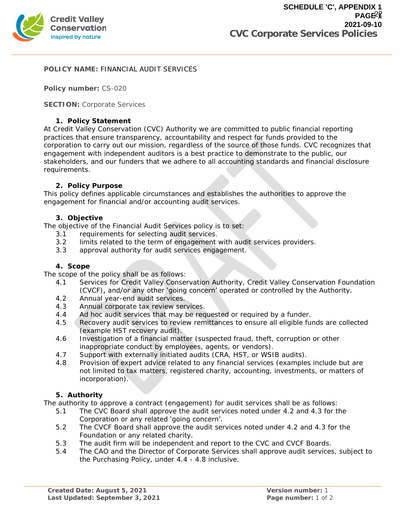

#### **POLICY NAME:** FINANCIAL AUDIT SERVICES

**Policy number:** CS-020

**SECTION:** Corporate Services

#### **1. Policy Statement**

At Credit Valley Conservation (CVC) Authority we are committed to public financial reporting practices that ensure transparency, accountability and respect for funds provided to the corporation to carry out our mission, regardless of the source of those funds. CVC recognizes that engagement with independent auditors is a best practice to demonstrate to the public, our stakeholders, and our funders that we adhere to all accounting standards and financial disclosure requirements.

#### **2. Policy Purpose**

This policy defines applicable circumstances and establishes the authorities to approve the engagement for financial and/or accounting audit services.

#### **3. Objective**

The objective of the Financial Audit Services policy is to set:

- 3.1 requirements for selecting audit services.
- 3.2 limits related to the term of engagement with audit services providers.
- 3.3 approval authority for audit services engagement.

#### **4. Scope**

The scope of the policy shall be as follows:

- 4.1 Services for Credit Valley Conservation Authority, Credit Valley Conservation Foundation (CVCF), and/or any other 'going concern' operated or controlled by the Authority.
- 4.2 Annual year-end audit services.
- 4.3 Annual corporate tax review services.
- 4.4 Ad hoc audit services that may be requested or required by a funder.
- 4.5 Recovery audit services to review remittances to ensure all eligible funds are collected (example HST recovery audit).
- 4.6 Investigation of a financial matter (suspected fraud, theft, corruption or other inappropriate conduct by employees, agents, or vendors).
- 4.7 Support with externally initiated audits (CRA, HST, or WSIB audits).
- 4.8 Provision of expert advice related to any financial services (examples include but are not limited to tax matters, registered charity, accounting, investments, or matters of incorporation).

#### **5. Authority**

The authority to approve a contract (engagement) for audit services shall be as follows:

- 5.1 The CVC Board shall approve the audit services noted under 4.2 and 4.3 for the Corporation or any related 'going concern'.
- 5.2 The CVCF Board shall approve the audit services noted under 4.2 and 4.3 for the Foundation or any related charity.
- 5.3 The audit firm will be independent and report to the CVC and CVCF Boards.
- 5.4 The CAO and the Director of Corporate Services shall approve audit services, subject to the Purchasing Policy, under 4.4 - 4.8 inclusive.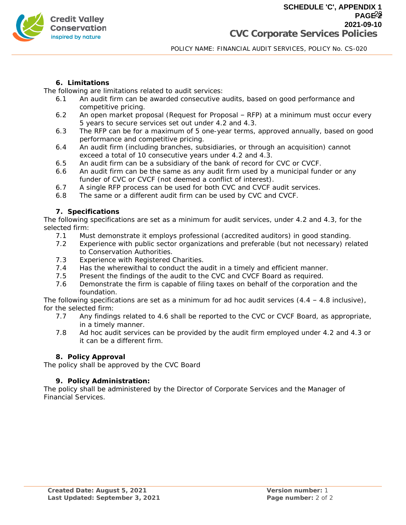

#### **6. Limitations**

The following are limitations related to audit services:

- 6.1 An audit firm can be awarded consecutive audits, based on good performance and competitive pricing.
- 6.2 An open market proposal (Request for Proposal RFP) at a minimum must occur every 5 years to secure services set out under 4.2 and 4.3.
- 6.3 The RFP can be for a maximum of 5 one-year terms, approved annually, based on good performance and competitive pricing.
- 6.4 An audit firm (including branches, subsidiaries, or through an acquisition) cannot exceed a total of 10 consecutive years under 4.2 and 4.3.
- 6.5 An audit firm can be a subsidiary of the bank of record for CVC or CVCF.
- 6.6 An audit firm can be the same as any audit firm used by a municipal funder or any funder of CVC or CVCF (not deemed a conflict of interest).
- 6.7 A single RFP process can be used for both CVC and CVCF audit services.
- 6.8 The same or a different audit firm can be used by CVC and CVCF.
- **7. Specifications**

The following specifications are set as a minimum for audit services, under 4.2 and 4.3, for the selected firm:

- 7.1 Must demonstrate it employs professional (accredited auditors) in good standing.
- 7.2 Experience with public sector organizations and preferable (but not necessary) related to Conservation Authorities.
- 7.3 Experience with Registered Charities.
- 7.4 Has the wherewithal to conduct the audit in a timely and efficient manner.
- 7.5 Present the findings of the audit to the CVC and CVCF Board as required.
- 7.6 Demonstrate the firm is capable of filing taxes on behalf of the corporation and the foundation.

The following specifications are set as a minimum for ad hoc audit services  $(4.4 - 4.8$  inclusive), for the selected firm:

- 7.7 Any findings related to 4.6 shall be reported to the CVC or CVCF Board, as appropriate, in a timely manner.
- 7.8 Ad hoc audit services can be provided by the audit firm employed under 4.2 and 4.3 or it can be a different firm.

#### **8. Policy Approval**

The policy shall be approved by the CVC Board

#### **9. Policy Administration:**

The policy shall be administered by the Director of Corporate Services and the Manager of Financial Services.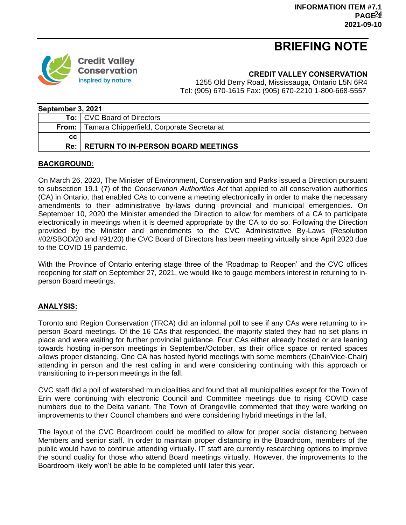# **BRIEFING NOTE**



**CREDIT VALLEY CONSERVATION**

1255 Old Derry Road, Mississauga, Ontario L5N 6R4 Tel: (905) 670-1615 Fax: (905) 670-2210 1-800-668-5557

| September 3, 2021 |                                               |  |  |  |  |
|-------------------|-----------------------------------------------|--|--|--|--|
|                   | <b>To:</b> CVC Board of Directors             |  |  |  |  |
| From:             | Tamara Chipperfield, Corporate Secretariat    |  |  |  |  |
| CC.               |                                               |  |  |  |  |
|                   | <b>Re: RETURN TO IN-PERSON BOARD MEETINGS</b> |  |  |  |  |

#### **BACKGROUND:**

On March 26, 2020, The Minister of Environment, Conservation and Parks issued a Direction pursuant to subsection 19.1 (7) of the *Conservation Authorities Act* that applied to all conservation authorities (CA) in Ontario, that enabled CAs to convene a meeting electronically in order to make the necessary amendments to their administrative by-laws during provincial and municipal emergencies. On September 10, 2020 the Minister amended the Direction to allow for members of a CA to participate electronically in meetings when it is deemed appropriate by the CA to do so. Following the Direction provided by the Minister and amendments to the CVC Administrative By-Laws (Resolution #02/SBOD/20 and #91/20) the CVC Board of Directors has been meeting virtually since April 2020 due to the COVID 19 pandemic.

With the Province of Ontario entering stage three of the 'Roadmap to Reopen' and the CVC offices reopening for staff on September 27, 2021, we would like to gauge members interest in returning to inperson Board meetings.

#### **ANALYSIS:**

Toronto and Region Conservation (TRCA) did an informal poll to see if any CAs were returning to inperson Board meetings. Of the 16 CAs that responded, the majority stated they had no set plans in place and were waiting for further provincial guidance. Four CAs either already hosted or are leaning towards hosting in-person meetings in September/October, as their office space or rented spaces allows proper distancing. One CA has hosted hybrid meetings with some members (Chair/Vice-Chair) attending in person and the rest calling in and were considering continuing with this approach or transitioning to in-person meetings in the fall.

CVC staff did a poll of watershed municipalities and found that all municipalities except for the Town of Erin were continuing with electronic Council and Committee meetings due to rising COVID case numbers due to the Delta variant. The Town of Orangeville commented that they were working on improvements to their Council chambers and were considering hybrid meetings in the fall.

The layout of the CVC Boardroom could be modified to allow for proper social distancing between Members and senior staff. In order to maintain proper distancing in the Boardroom, members of the public would have to continue attending virtually. IT staff are currently researching options to improve the sound quality for those who attend Board meetings virtually. However, the improvements to the Boardroom likely won't be able to be completed until later this year.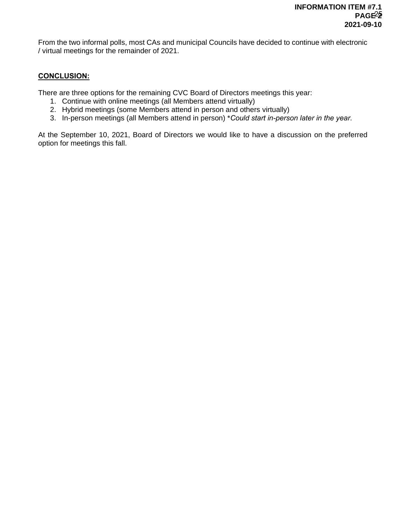From the two informal polls, most CAs and municipal Councils have decided to continue with electronic / virtual meetings for the remainder of 2021.

#### **CONCLUSION:**

There are three options for the remaining CVC Board of Directors meetings this year:

- 1. Continue with online meetings (all Members attend virtually)
- 2. Hybrid meetings (some Members attend in person and others virtually)
- 3. In-person meetings (all Members attend in person) \**Could start in-person later in the year.*

At the September 10, 2021, Board of Directors we would like to have a discussion on the preferred option for meetings this fall.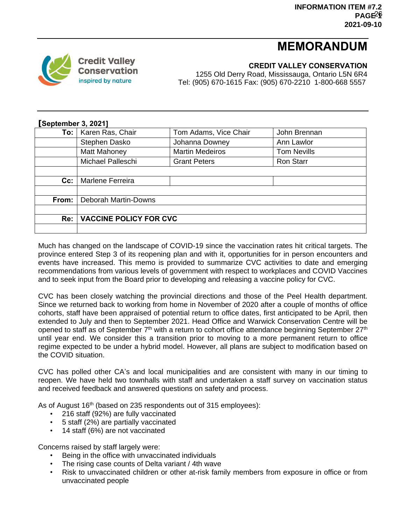# **MEMORANDUM**



**CREDIT VALLEY CONSERVATION**

1255 Old Derry Road, Mississauga, Ontario L5N 6R4 Tel: (905) 670-1615 Fax: (905) 670-2210 1-800-668 5557

| September 3, 2021] |                               |                        |                    |  |  |  |  |
|--------------------|-------------------------------|------------------------|--------------------|--|--|--|--|
|                    | To:   Karen Ras, Chair        | Tom Adams, Vice Chair  | John Brennan       |  |  |  |  |
|                    | Stephen Dasko                 | Johanna Downey         | Ann Lawlor         |  |  |  |  |
|                    | Matt Mahoney                  | <b>Martin Medeiros</b> | <b>Tom Nevills</b> |  |  |  |  |
|                    | Michael Palleschi             | <b>Grant Peters</b>    | <b>Ron Starr</b>   |  |  |  |  |
|                    |                               |                        |                    |  |  |  |  |
| $Cc$ :             | <b>Marlene Ferreira</b>       |                        |                    |  |  |  |  |
|                    |                               |                        |                    |  |  |  |  |
| From:              | <b>Deborah Martin-Downs</b>   |                        |                    |  |  |  |  |
|                    |                               |                        |                    |  |  |  |  |
| Re:                | <b>VACCINE POLICY FOR CVC</b> |                        |                    |  |  |  |  |
|                    |                               |                        |                    |  |  |  |  |

Much has changed on the landscape of COVID-19 since the vaccination rates hit critical targets. The province entered Step 3 of its reopening plan and with it, opportunities for in person encounters and events have increased. This memo is provided to summarize CVC activities to date and emerging recommendations from various levels of government with respect to workplaces and COVID Vaccines and to seek input from the Board prior to developing and releasing a vaccine policy for CVC.

CVC has been closely watching the provincial directions and those of the Peel Health department. Since we returned back to working from home in November of 2020 after a couple of months of office cohorts, staff have been appraised of potential return to office dates, first anticipated to be April, then extended to July and then to September 2021. Head Office and Warwick Conservation Centre will be opened to staff as of September 7<sup>th</sup> with a return to cohort office attendance beginning September 27<sup>th</sup> until year end. We consider this a transition prior to moving to a more permanent return to office regime expected to be under a hybrid model. However, all plans are subject to modification based on the COVID situation.

CVC has polled other CA's and local municipalities and are consistent with many in our timing to reopen. We have held two townhalls with staff and undertaken a staff survey on vaccination status and received feedback and answered questions on safety and process.

As of August 16<sup>th</sup> (based on 235 respondents out of 315 employees):

- 216 staff (92%) are fully vaccinated
- 5 staff (2%) are partially vaccinated
- 14 staff (6%) are not vaccinated

Concerns raised by staff largely were:

- Being in the office with unvaccinated individuals
- The rising case counts of Delta variant / 4th wave
- Risk to unvaccinated children or other at-risk family members from exposure in office or from unvaccinated people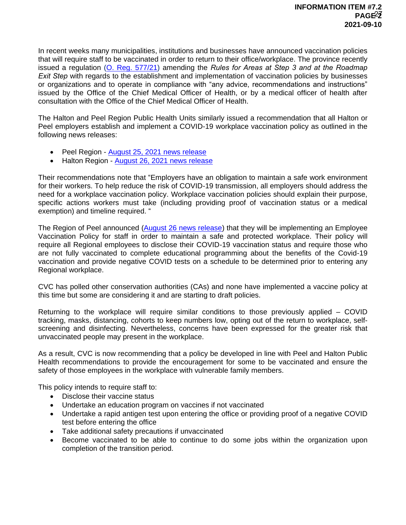In recent weeks many municipalities, institutions and businesses have announced vaccination policies that will require staff to be vaccinated in order to return to their office/workplace. The province recently issued a regulation [\(O. Reg. 577/21\)](https://www.ontario.ca/laws/regulation/r21577) amending the *Rules for Areas at Step 3 and at the Roadmap Exit Step* with regards to the establishment and implementation of vaccination policies by businesses or organizations and to operate in compliance with "any advice, recommendations and instructions" issued by the Office of the Chief Medical Officer of Health, or by a medical officer of health after consultation with the Office of the Chief Medical Officer of Health.

The Halton and Peel Region Public Health Units similarly issued a recommendation that all Halton or Peel employers establish and implement a COVID-19 workplace vaccination policy as outlined in the following news releases:

- Peel Region [August 25, 2021 news release](https://peelregion.ca/news/archiveitem.asp?year=2021&month=7&day=25&file=2021725.xml)
- Halton Region [August 26, 2021 news release](https://www.halton.ca/The-Region/News/2021/Halton-Medical-Officer-of-Health-recommending-COVI)

Their recommendations note that "Employers have an obligation to maintain a safe work environment for their workers. To help reduce the risk of COVID-19 transmission, all employers should address the need for a workplace vaccination policy. Workplace vaccination policies should explain their purpose, specific actions workers must take (including providing proof of vaccination status or a medical exemption) and timeline required. "

The Region of Peel announced [\(August 26 news release\)](https://peelregion.ca/news/archiveitem.asp?year=2021&month=7&day=26&file=2021726.xml) that they will be implementing an Employee Vaccination Policy for staff in order to maintain a safe and protected workplace. Their policy will require all Regional employees to disclose their COVID-19 vaccination status and require those who are not fully vaccinated to complete educational programming about the benefits of the Covid-19 vaccination and provide negative COVID tests on a schedule to be determined prior to entering any Regional workplace.

CVC has polled other conservation authorities (CAs) and none have implemented a vaccine policy at this time but some are considering it and are starting to draft policies.

Returning to the workplace will require similar conditions to those previously applied – COVID tracking, masks, distancing, cohorts to keep numbers low, opting out of the return to workplace, selfscreening and disinfecting. Nevertheless, concerns have been expressed for the greater risk that unvaccinated people may present in the workplace.

As a result, CVC is now recommending that a policy be developed in line with Peel and Halton Public Health recommendations to provide the encouragement for some to be vaccinated and ensure the safety of those employees in the workplace with vulnerable family members.

This policy intends to require staff to:

- Disclose their vaccine status
- Undertake an education program on vaccines if not vaccinated
- Undertake a rapid antigen test upon entering the office or providing proof of a negative COVID test before entering the office
- Take additional safety precautions if unvaccinated
- Become vaccinated to be able to continue to do some jobs within the organization upon completion of the transition period.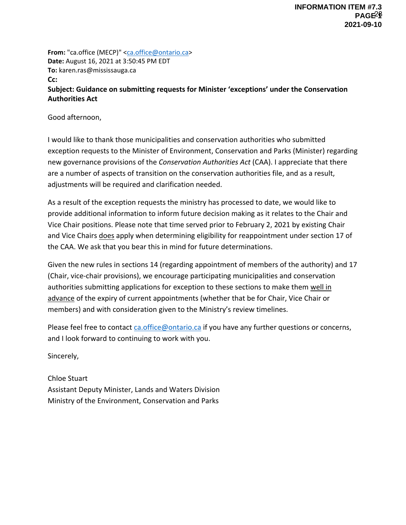**From:** "ca.office (MECP)" [<ca.office@ontario.ca>](mailto:ca.office@ontario.ca) **Date:** August 16, 2021 at 3:50:45 PM EDT **To:** karen.ras@mississauga.ca **Cc: Subject: Guidance on submitting requests for Minister 'exceptions' under the Conservation Authorities Act**

Good afternoon,

I would like to thank those municipalities and conservation authorities who submitted exception requests to the Minister of Environment, Conservation and Parks (Minister) regarding new governance provisions of the *Conservation Authorities Act* (CAA). I appreciate that there are a number of aspects of transition on the conservation authorities file, and as a result, adjustments will be required and clarification needed.

As a result of the exception requests the ministry has processed to date, we would like to provide additional information to inform future decision making as it relates to the Chair and Vice Chair positions. Please note that time served prior to February 2, 2021 by existing Chair and Vice Chairs does apply when determining eligibility for reappointment under section 17 of the CAA. We ask that you bear this in mind for future determinations.

Given the new rules in sections 14 (regarding appointment of members of the authority) and 17 (Chair, vice-chair provisions), we encourage participating municipalities and conservation authorities submitting applications for exception to these sections to make them well in advance of the expiry of current appointments (whether that be for Chair, Vice Chair or members) and with consideration given to the Ministry's review timelines.

Please feel free to contact [ca.office@ontario.ca](mailto:ca.office@ontario.ca) if you have any further questions or concerns, and I look forward to continuing to work with you.

Sincerely,

Chloe Stuart Assistant Deputy Minister, Lands and Waters Division Ministry of the Environment, Conservation and Parks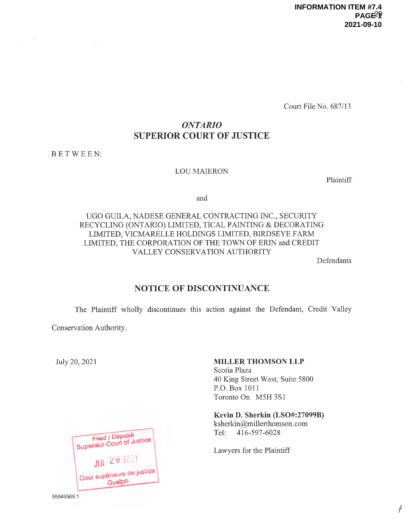Court File No. 687/13

#### ONTARIO SUPERIOR COURT OF JUSTICE

B ETWEEN:

#### LOU MAIERON

Plaintiff

and

#### UGO GUILA, NADESE GENERAL CONTRACTING INC., SECURITY RECYCLING (ONTARIO) LIMITED, TICAL PAINTING & DECORATING LIMITED, VICMARELLE HOLDINGS LIMITED, BIRDSEYE FARM LIMITED, THE CORPORATION OF THE TOWN OF ERIN and CREDIT VALLEY CONSERVATION AUTHORITY

Defendants

 $^{\dagger}$ 

#### NOTICE OF DISCONTINUANCE

The Plaintiff wholly discontinues this action against the Defendant, Credit Valley

Conservation Authority.

July 20, 2021

| Filed / Déposé<br>Superieur Court of Justice |  |
|----------------------------------------------|--|
| <b>JUI 29 2021</b>                           |  |
| Cour supérieure de justice<br>Guelph         |  |

#### MILLER THOMSON LLP

Scotia Plaza 40 King Street West, Suite 5800 P.O. Box 1011 Toronto On M5H 3S1

Kevin D. Sherkin (LSO#:27099B) ksherkin@millerthomson.com Tel: 416-597-6028

Lawyers for the Plaintiff

55946569.1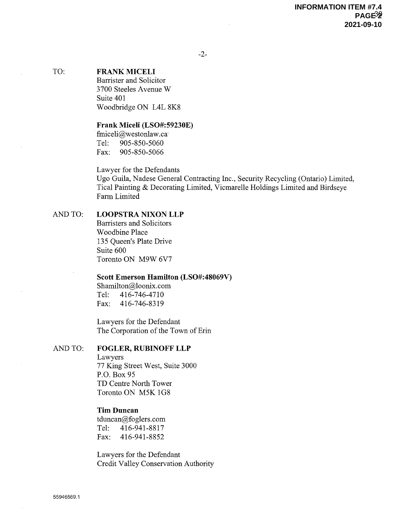-2-

#### TO: FRANK MICELI

Barrister and Solicitor 3700 Steeles Avenue W Suite 401 Woodbridge ON L4L 8K8

#### Frank Miceli (LSO#:59230E)

finiceli@westonlaw. ca~ Tel: 905-850-5060 Fax: 905-850-5066

Lawyer for the Defendants

Ugo Guila, Nadese General Contracting Inc., Security Recycling (Ontario) Limited, Tical Painting &Decorating Limited, Vicmarelle Holdings Limited and Birdseye Farm Limited

#### AND TO: LOOPSTRA NIXON LLP

Barristers and Solicitors Woodbine Place 135 Queen's Plate Drive Suite 600 Toronto ON M9W 6V7

#### Scott Emerson Hamilton (LSO#:48069V)

Shamilton@loonix. com Tel: 416-746-4710 Fax: 416-746-8319

Lawyers for the Defendant The Corporation of the Town of Erin

#### AND TO: FOGLER, RUBINOFF LLP

Lawyers 77 King Street West, Suite 3000 P.O. Box 95 TD Centre North Tower Toronto ON M5K 1G8

#### Tim Duncan

tduncan@foglers.com Tel: 416-941-8817 Fax: 416-941-8852

Lawyers for the Defendant Credit Valley Conservation Authority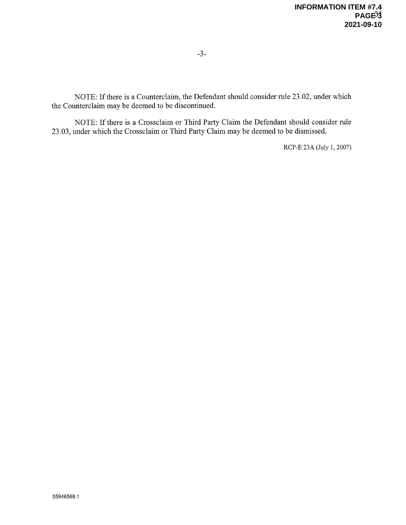$\sim 10^{-1}$ 

NOTE: If there is a Counterclaim, the Defendant should consider rule 23.02, under which the Counterclaim maybe deemed to be discontinued.

NOTE: If there is a Crossclaim or Third Party Claim the Defendant should consider rule 23.03, under which the Crossclaim or Third Party Claim maybe deemed to be dismissed.

RCP-E 23A (July 1, 2007)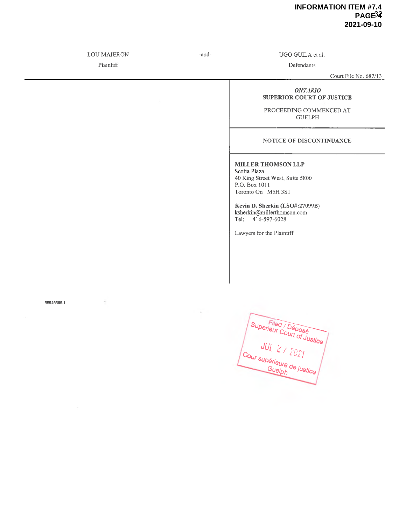#### **INFORMATION ITEM #7.4 PAGE34 2021-09-10**

LOU MAIERON -and- UGO GUILA et al.

55946569.1

Plaintiff Defendants

Court File No. 687/13

#### ONTARIO SUPERIOR COURT OF JUSTICE

PROCEEDING COMMENCED AT GUELPH

#### NOTICE OF DISCONTINUANCE

MILLER THOMSON LLP Scotia Plaza

40 King Street West, Suite 5800 P.O. Box 1011 Toronto On MSH 3S1

Kevin D. Sherkin (LSO#:27099B) ksherkin@millerthomson.com Tel: 416-597-6028

Lawyers for the Plaintiff

Superieur Court of Justice  $\int_{\text{Cour sup\'erialum}}$  $G_{\bm{\mathcal{U}}\ominus\bm{\mathcal{V}}_{\bm{\mathcal{D}}}}$  de justice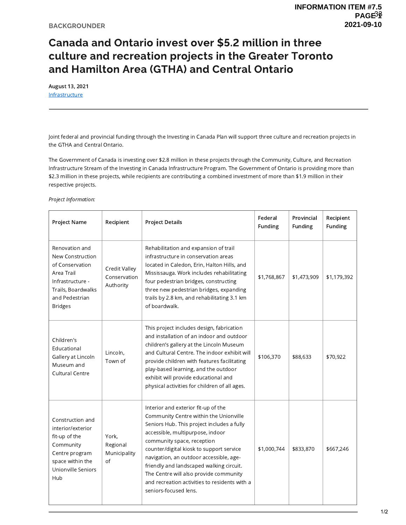# Canada and Ontario invest over \$5.2 million in three INFORMATIC<br> **Canada and Ontario invest over \$5.2 million in three**<br> **Culture and recreation projects in the Greater Toronto**<br> **and Hamilton Area (GTHA) and Central Ontario**<br>
August 13, 2021<br>
Infrastructure<br>
Infrastructure<br> and Hamilton Area (GTHA) and Central Ontario

August 13, 2021 **Infrastructure** 

Joint federal and provincial funding through the Investing in Canada Plan will support three culture and recreation projects in the GTHA and Central Ontario.

The Government of Canada is investing over \$2.8 million in these projects through the Community, Culture, and Recreation Infrastructure Stream of the Investing in Canada Infrastructure Program. The Government of Ontario is providing more than \$2.3 million in these projects, while recipients are contributing a combined investment of more than \$1.9 million in their respective projects.

Project Information:

| Project Name                                                                                                                                      | Recipient                                  | <b>Project Details</b>                                                                                                                                                                                                                                                                                                                                                                                                                               | Federal<br>Funding | Provincial<br>Funding | Recipient<br>Funding |
|---------------------------------------------------------------------------------------------------------------------------------------------------|--------------------------------------------|------------------------------------------------------------------------------------------------------------------------------------------------------------------------------------------------------------------------------------------------------------------------------------------------------------------------------------------------------------------------------------------------------------------------------------------------------|--------------------|-----------------------|----------------------|
| Renovation and<br>New Construction<br>of Conservation<br>Area Trail<br>Infrastructure -<br>Trails, Boardwalks<br>and Pedestrian<br><b>Bridges</b> | Credit Valley<br>Conservation<br>Authority | Rehabilitation and expansion of trail<br>infrastructure in conservation areas<br>located in Caledon, Erin, Halton Hills, and<br>Mississauga. Work includes rehabilitating<br>four pedestrian bridges, constructing<br>three new pedestrian bridges, expanding<br>trails by 2.8 km, and rehabilitating 3.1 km<br>of boardwalk.                                                                                                                        | \$1,768,867        | \$1,473,909           | \$1,179,392          |
| Children's<br>Educational<br>Gallery at Lincoln<br>Museum and<br><b>Cultural Centre</b>                                                           | Lincoln,<br>Town of                        | This project includes design, fabrication<br>and installation of an indoor and outdoor<br>children's gallery at the Lincoln Museum<br>and Cultural Centre. The indoor exhibit will<br>provide children with features facilitating<br>play-based learning, and the outdoor<br>exhibit will provide educational and<br>physical activities for children of all ages.                                                                                   | \$106,370          | \$88,633              | \$70,922             |
| Construction and<br>interior/exterior<br>fit-up of the<br>Community<br>Centre program<br>space within the<br>Unionville Seniors<br>Hub            | York,<br>Regional<br>Municipality<br>of    | Interior and exterior fit-up of the<br>Community Centre within the Unionville<br>Seniors Hub. This project includes a fully<br>accessible, multipurpose, indoor<br>community space, reception<br>counter/digital kiosk to support service<br>navigation, an outdoor accessible, age-<br>friendly and landscaped walking circuit.<br>The Centre will also provide community<br>and recreation activities to residents with a<br>seniors-focused lens. | \$1,000,744        | \$833,870             | \$667,246            |